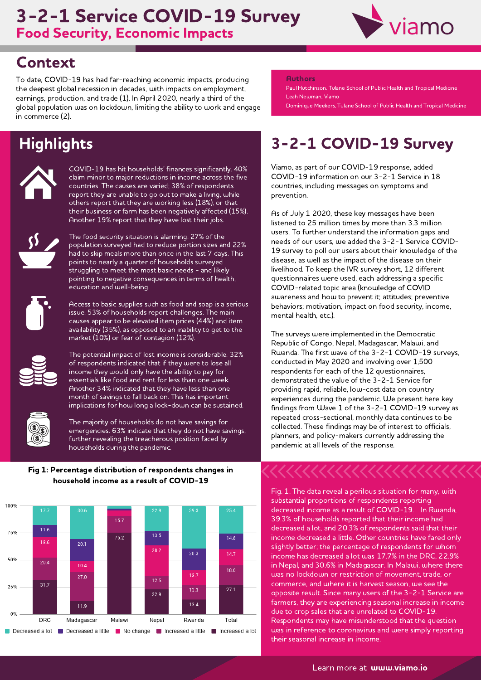### Food Security, Economic Impacts 3-2-1 Service COVID-19 Survey



## Context

To date, COVID-19 has had far-reaching economic impacts, producing the deepest global recession in decades, with impacts on employment, earnings, production, and trade (1). In April 2020, nearly a third of the global population was on lockdown, limiting the ability to work and engage in commerce (2).

# **Highlights**



COVID-19 has hit households' finances significantly. 40% claim minor to major reductions in income across the five countries. The causes are varied; 38% of respondents report they are unable to go out to make a living, while others report that they are working less (18%), or that their business or farm has been negatively affected (15%). Another 19% report that they have lost their jobs.



The food security situation is alarming. 27% of the population surveyed had to reduce portion sizes and 22% had to skip meals more than once in the last 7 days. This points to nearly a quarter of households surveyed struggling to meet the most basic needs - and likely pointing to negative consequences in terms of health, education and well-being.



Access to basic supplies such as food and soap is a serious issue. 53% of households report challenges. The main causes appear to be elevated item prices (44%) and item availability (35%), as opposed to an inability to get to the market (10%) or fear of contagion (12%).



The potential impact of lost income is considerable. 32% of respondents indicated that if they were to lose all income they would only have the ability to pay for essentials like food and rent for less than one week. Another 34% indicated that they have less than one month of savings to fall back on. This has important implications for how long a lock-down can be sustained.



The majority of households do not have savings for emergencies. 63% indicate that they do not have savings, further revealing the treacherous position faced by households during the pandemic.

#### Fig 1: Percentage distribution of respondents changes in household income as a result of COVID-19



#### Authors

Paul Hutchinson, Tulane School of Public Health and Tropical Medicine Leah Newman, Viamo

Dominique Meekers, Tulane School of Public Health and Tropical Medicine

# 3-2-1 COVID-19 Survey

Viamo, as part of our COVID-19 response, added COVID-19 information on our 3-2-1 [Service](https://viamo.io/services/3-2-1/) in 18 countries, including messages on symptoms and prevention.

As of July 1 2020, these key messages have been listened to 25 million times by more than 3.3 million users. To further understand the information gaps and needs of our users, we added the 3-2-1 Service COVID-19 survey to poll our users about their knowledge of the disease, as well as the impact of the disease on their livelihood. To keep the IVR survey short, 12 different questionnaires were used, each addressing a specific COVID-related topic area (knowledge of COVID awareness and how to prevent it; attitudes; preventive behaviors; motivation, impact on food security, income, mental health, etc.).

The surveys were implemented in the Democratic Republic of Congo, Nepal, Madagascar, Malawi, and Rwanda. The first wave of the 3-2-1 COVID-19 surveys, conducted in May 2020 and involving over 1,500 respondents for each of the 12 questionnaires, demonstrated the value of the 3-2-1 Service for providing rapid, reliable, low-cost data on country experiences during the pandemic. We present here key findings from Wave 1 of the 3-2-1 COVID-19 survey as repeated cross-sectional, monthly data continues to be collected. These findings may be of interest to officials, planners, and policy-makers currently addressing the pandemic at all levels of the response.

Fig. 1. The data reveal a perilous situation for many, with substantial proportions of respondents reporting decreased income as <sup>a</sup> result of COVID-19. In Rwanda, 39.3% of households reported that their income had decreased a lot, and 20.3% of respondents said that their income decreased a little. Other countries have fared only slightly better; the percentage of respondents for whom income has decreased a lot was 17.7% in the DRC, 22.9% in Nepal, and 30.6% in Madagascar. In Malawi, where there was no lockdown or restriction of movement, trade, or commerce, and where it is harvest season, we see the opposite result. Since many users of the 3-2-1 Service are farmers, they are experiencing seasonal increase in income due to crop sales that are unrelated to COVID-19. Respondents may have misunderstood that the question<br>uas in reference to coronavirus and were simply reporting their seasonal increase in income.

Learn more at **www.viamo.io**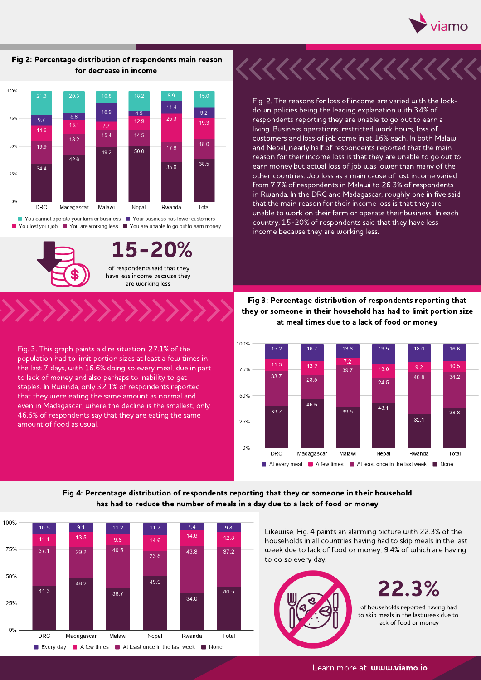

#### Fig 2: Percentage distribution of respondents main reason for decrease in income



You lost your job You are working less You are unable to go out to earn money



15-20% of respondents said that they have less income because they are working less

Fig. 3. This graph paints a dire situation: 27.1% of the population had to limit portion sizes at least a few times in the last 7 days, with 16.6% doing so every meal, due in part to lack of money and also perhaps to inability to get staples. In Rwanda, only 32.1% of respondents reported that they were eating the same amount as normal and even in Madagascar, where the decline is the smallest, only 46.6% of respondents say that they are eating the same amount of food as usual.

Fig. 2. The reasons for loss of income are varied with the lockdown policies being the leading explanation with 34% of respondents reporting they are unable to go out to earn a living. Business operations, restricted work hours, loss of customers and loss of job come in at 16% each. In both Malawi and Nepal, nearly half of respondents reported that the main reason for their income loss is that they are unable to go out to earn money but actual loss of job was lower than many of the other countries. Job loss as a main cause of lost income varied from 7.7% of respondents in Malawi to 26.3% of respondents in Rwanda. In the DRC and Madagascar, roughly one in five said that the main reason for their income loss is that they are unable to work on their farm or operate their business. In each country, 15-20% of respondents said that they have less income because they are working less.

Fig 3: Percentage distribution of respondents reporting that they or someone in their household has had to limit portion size at meal times due to a lack of food or money



### Fig 4: Percentage distribution of respondents reporting that they or someone in their household has had to reduce the number of meals in a day due to a lack of food or money



Likewise, Fig. 4 paints an alarming picture with 22.3% of the households in all countries having had to skip meals in the last week due to lack of food or money, 9.4% of which are having to do so every day.



22.3%

of households reported having had to skip meals in the last week due to lack of food or money